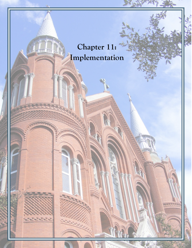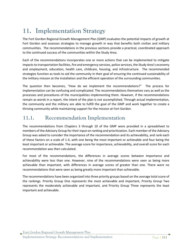# **11. Implementation Strategy**

The Fort Gordon Regional Growth Management Plan (GMP) evaluates the potential impacts of growth at Fort Gordon and assesses strategies to manage growth in way that benefits both civilian and military communities. The recommendations in the previous sections provide a practical, coordinated approach to the continued success of the communities within the Study Area.

Each of the recommendations incorporates one or more actions that can be implemented to mitigate impacts to transportation facilities, fire and emergency services, police services, the Study Area's economy and employment, education, health care, childcare, housing, and infrastructure. The recommended strategies function as tools to aid the community in their goal of ensuring the continued sustainability of the military mission at the Installation and the efficient operation of the surrounding communities.

The question then becomes, "How do we implement the recommendations?" The process for implementation can be confusing and complicated. The recommendations themselves vary as well as the processes and procedures of the municipalities implementing them. However, if the recommendations remain as words in a report, the intent of the plan is not accomplished. Through actual implementation, the community and the military are able to fulfill the goal of the GMP and work together to create a thriving community while maintaining support for the mission at Fort Gordon.

# **11.1. Recommendation Implementation**

The recommendations from Chapters 3 through 10 of the GMP were provided in a spreadsheet to members of the Advisory Group for their input on ranking and prioritization. Each member of the Advisory Group was asked to consider the importance of the recommendation and its achievability, and rank each of these factors on a scale of 1-4, with one being the most important or achievable and four being the least important or achievable. The average score for importance, achievability, and overall score for each recommendation was then calculated.

For most of the recommendations, the differences in average scores between importance and achievability were less than one. However, nine of the recommendations were seen as being more achievable than important, with differences in average scores of greater than one. There were no recommendations that were seen as being greatly more important than achievable.

The recommendations have been organized into three priority groups based on the average total score of the rankings. Priority Group One represents the most achievable and important, Priority Group Two represents the moderately achievable and important, and Priority Group Three represents the least important and achievable.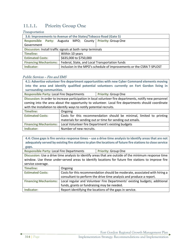# **11.1.1. Priority Group One**

# **Transportation**

| 3.6: Improvements to Avenue of the States/Tobacco Road (Gate 5)                |                 |  |                                                                      |
|--------------------------------------------------------------------------------|-----------------|--|----------------------------------------------------------------------|
| Responsible Party: Augusta MPO; County Priority: Group One                     |                 |  |                                                                      |
| Government                                                                     |                 |  |                                                                      |
| Discussion: Install traffic signals at both ramp terminals                     |                 |  |                                                                      |
| <b>Timeline:</b>                                                               | Within 10 years |  |                                                                      |
| \$635,000 to \$750,000<br><b>Estimated Costs:</b>                              |                 |  |                                                                      |
| <b>Financing Mechanisms:</b><br>Federal, State, and Local Transportation funds |                 |  |                                                                      |
| Indicator:                                                                     |                 |  | Inclusion in the MPO's schedule of improvements or the CSRA T-SPLOST |

# Public Services – Fire and EMS

| 4.1: Advertise volunteer fire department opportunities with new Cyber Command elements moving            |         |                                                                      |  |
|----------------------------------------------------------------------------------------------------------|---------|----------------------------------------------------------------------|--|
| into the area and identify qualified potential volunteers currently on Fort Gordon living in             |         |                                                                      |  |
| surrounding communities.                                                                                 |         |                                                                      |  |
| <b>Responsible Party: Local Fire Departments</b><br><b>Priority: Group One</b>                           |         |                                                                      |  |
| Discussion: In order to increase participation in local volunteer fire departments, notify new personnel |         |                                                                      |  |
| coming into the area about the opportunity to volunteer. Local fire departments should coordinate        |         |                                                                      |  |
| with the Installation to identify ways to notify potential recruits.                                     |         |                                                                      |  |
| Timeline:                                                                                                | Ongoing |                                                                      |  |
| <b>Estimated Costs:</b>                                                                                  |         | Costs for this recommendation should be minimal, limited to printing |  |
|                                                                                                          |         | materials for sending out or time for sending out emails.            |  |

|            | Financing Mechanisms:   Local Volunteer fire Department's existing budgets |
|------------|----------------------------------------------------------------------------|
| Indicator: | Number of new recruits.                                                    |

| 4.4: Close gaps is fire service response times – use a drive time analysis to identify areas that are not<br>adequately served by existing fire stations to plan the locations of future fire stations to close service |                                                                            |                                                          |
|-------------------------------------------------------------------------------------------------------------------------------------------------------------------------------------------------------------------------|----------------------------------------------------------------------------|----------------------------------------------------------|
| gaps.                                                                                                                                                                                                                   |                                                                            |                                                          |
| <b>Responsible Party: Local Fire Departments</b>                                                                                                                                                                        |                                                                            | <b>Priority: Group One</b>                               |
| Discussion: Use a drive time analysis to identify areas that are outside of the minimum response time                                                                                                                   |                                                                            |                                                          |
| window. Use these under-served areas to identify locations for future fire stations to improve fire                                                                                                                     |                                                                            |                                                          |
| service coverage.                                                                                                                                                                                                       |                                                                            |                                                          |
| Timeline:                                                                                                                                                                                                               | Ongoing                                                                    |                                                          |
| <b>Estimated Costs:</b>                                                                                                                                                                                                 | Costs for this recommendation should be moderate, associated with hiring a |                                                          |
|                                                                                                                                                                                                                         | consultant to perform the drive time analysis and produce a report.        |                                                          |
| <b>Financing Mechanisms:</b>                                                                                                                                                                                            | Local regular and Volunteer Fire Departments' existing budgets; additional |                                                          |
|                                                                                                                                                                                                                         | funds, grants or fundraising may be needed.                                |                                                          |
| Indicator:                                                                                                                                                                                                              |                                                                            | Report identifying the locations of the gaps in service. |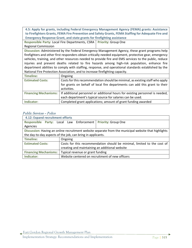**4.5: Apply for grants, including Federal Emergency Management Agency (FEMA) grants: Assistance to Firefighters Grants, FEMA Fire Prevention and Safety Grants, FEMA Staffing for Adequate Fire and Emergency Response Grant, and state grants for firefighting assistance** 

**Responsible Party:** Local Fire Departments, CSRA **Priority:** Group One Regional Commission

**Discussion:** Administered by the Federal Emergency Management Agency, these grant programs help firefighters and other first responders obtain critically needed equipment, protective gear, emergency vehicles, training, and other resources needed to provide fire and EMS services to the public, reduce injuries and prevent deaths related to fire hazards among high-risk population, enhance fire department abilities to comply with staffing, response, and operational standards established by the National Fire Protection Association, and to increase firefighting capacity.

| Timeline:               | Ongoing                                                                                               |
|-------------------------|-------------------------------------------------------------------------------------------------------|
| <b>Estimated Costs:</b> | Costs for this recommendation should be minimal, as existing staff who apply                          |
|                         | for grants on behalf of local fire departments can add this grant to their                            |
|                         | activities.                                                                                           |
|                         | Financing Mechanisms:   If additional personnel or additional hours for existing personnel is needed, |
|                         | each department's typical source for salaries can be used.                                            |
| Indicator:              | Completed grant applications; amount of grant funding awarded                                         |

# Public Services – Police

| 4.12: Expand recruitment efforts                            |                                                                         |                                  |                                                                                                      |
|-------------------------------------------------------------|-------------------------------------------------------------------------|----------------------------------|------------------------------------------------------------------------------------------------------|
| Responsible Party: Local Law Enforcement                    |                                                                         |                                  | <b>Priority: Group One</b>                                                                           |
| Agencies                                                    |                                                                         |                                  |                                                                                                      |
|                                                             |                                                                         |                                  | Discussion: Having an online recruitment website separate from the municipal website that highlights |
| the day-to-day aspects of the job, can bring in applicants. |                                                                         |                                  |                                                                                                      |
| <b>Timeline:</b>                                            | Ongoing                                                                 |                                  |                                                                                                      |
| <b>Estimated Costs:</b>                                     | Costs for this recommendation should be minimal, limited to the cost of |                                  |                                                                                                      |
|                                                             | creating and maintaining an additional website                          |                                  |                                                                                                      |
| <b>Financing Mechanisms:</b>                                |                                                                         | Typical revenue or grant funding |                                                                                                      |
| Indicator:                                                  |                                                                         |                                  | Website centered on recruitment of new officers                                                      |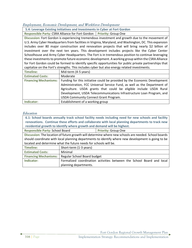# Employment, Economic Development, and Workforce Development

**5.4: Leverage Existing Initiatives and Investments in Cyber at Fort Gordon**

**Responsible Party: CSRA Alliance for Fort Gordon | Priority: Group One** 

**Discussion:** Fort Gordon is experiencing tremendous investment and growth due to the movement of U.S. Army Cyber Headquarters from facilities in Virginia, Maryland, and Washington, DC. This expansion includes over 80 major construction and renovation projects that will bring nearly \$2 billion of investment over the next ten years. This development includes projects like the Cyber Center Schoolhouse and Army Cyber Headquarters. The Fort is in tremendous position to continue leveraging these investments to promote future economic development. A working group within the CSRA Alliance for Fort Gordon could be formed to identify specific opportunities for public private partnerships that capitalize on the Fort's strengths. This includes cyber but also energy related investments.

| Timeline:                    | Mid-term (4-5 years)                                                      |
|------------------------------|---------------------------------------------------------------------------|
| <b>Estimated Costs:</b>      | Moderate                                                                  |
| <b>Financing Mechanisms:</b> | Funding for this initiative could be provided by the Economic Development |
|                              | Administration, FCC Universal Service Fund, as well as the Department of  |
|                              | Agriculture. USDA grants that could be eligible include USDA Rural        |
|                              | Development, USDA Telecommunications Infrastructure Loan Program, and     |
|                              | USDA Community Connect Grant Program.                                     |
| Indicator:                   | Establishment of a working group                                          |

#### Education

| 6.1: School boards annually track school facility needs including need for new schools and facility<br>renovations. Continue these efforts and collaborate with local planning departments to track new |                                                                         |                                                                       |  |
|---------------------------------------------------------------------------------------------------------------------------------------------------------------------------------------------------------|-------------------------------------------------------------------------|-----------------------------------------------------------------------|--|
|                                                                                                                                                                                                         | residential growth to identify where growth and demand will be highest. |                                                                       |  |
| <b>Responsible Party: School Board</b><br><b>Priority: Group One</b>                                                                                                                                    |                                                                         |                                                                       |  |
| Discussion: The location of future growth will determine where new schools are needed. School boards                                                                                                    |                                                                         |                                                                       |  |
| should coordinate with local planning departments to identify where new development is going to be                                                                                                      |                                                                         |                                                                       |  |
| located and determine what the future needs for schools will be.                                                                                                                                        |                                                                         |                                                                       |  |
| <b>Timeline:</b>                                                                                                                                                                                        | Short-term (1-3 years)                                                  |                                                                       |  |
| <b>Estimated Costs:</b>                                                                                                                                                                                 | Minimal                                                                 |                                                                       |  |
| <b>Financing Mechanisms:</b>                                                                                                                                                                            | Regular School Board budget                                             |                                                                       |  |
| Indicator:                                                                                                                                                                                              |                                                                         | Formalized coordination activities between the School Board and local |  |
|                                                                                                                                                                                                         | planning departments.                                                   |                                                                       |  |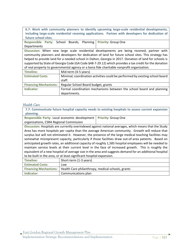**6.7: Work with community planners to identify upcoming large-scale residential developments, including large-scale residential rezoning applications. Partner with developers for dedication of future school sites.**

**Responsible Party:** School Boards, Planning **Departments Priority:** Group One

**Discussion:** When new large scale residential developments are being rezoned, partner with community planners and developers for dedication of land for future school sites. This strategy has helped to provide land for a needed school in Dalton, Georgia in 2017. Donation of land for schools is supported by State of Georgia Code (GA Code §48-7-29.12) which provides a tax credit for the donation of real property to governmental agency or a bona fide charitable nonprofit organization.

| Timeline:                    | Mid-term (4-5 years)                                                         |  |
|------------------------------|------------------------------------------------------------------------------|--|
| <b>Estimated Costs:</b>      | Minimal; coordination activities could be performed by existing school board |  |
|                              | staff.                                                                       |  |
| <b>Financing Mechanisms:</b> | Regular School Board budget, grants                                          |  |
| Indicator:                   | Formal coordination mechanisms between the school board and planning         |  |
|                              | departments.                                                                 |  |

# Health Care

**7.7: Communicate future hospital capacity needs to existing hospitals to assess current expansion planning.**

| Responsible Party: Local economic development   Priority: Group One |  |
|---------------------------------------------------------------------|--|
| organizations, CSRA Regional Commission                             |  |

**Discussion:** Hospitals are currently overindexed against national averages, which means that the Study Area has more hospitals per capita than the average American community. Growth will reduce that surplus but will not eliminated it. However, the presence of the large medical teaching facilities may somewhat misrepresent capacity, particularly if those facilities draw out-of-area patients. Based on anticipated growth rates, an additional capacity of roughly 1,585 hospital employees will be needed to maintain service levels at their current level in the face of increased growth. This is roughly the equivalent of a new hospital of average size in the area and suggests demand for an additional hospital to be built in the area, or at least significant hospital expansion.

| Timeline:               | Short-term (1-3 years)                                                    |
|-------------------------|---------------------------------------------------------------------------|
| <b>Estimated Costs:</b> | Low                                                                       |
|                         | Financing Mechanisms:   Health Care philanthropy, medical schools, grants |
| Indicator:              | Communications plan                                                       |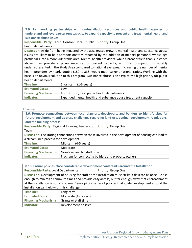**7.9: Join working partnerships with on-Installation resources and public health agencies to understand and leverage current capacity to expand capacity to prevent and treat mental health and substance abuse issues.**

**Responsible Party:** Fort Gordon, local public **Priority:** Group One health departments

**Discussion:** Aside from being impacted by the accelerated growth, mental health and substance abuse issues are likely to be disproportionately impacted by the addition of military personnel whose age profile falls into a more vulnerable area. Mental health providers, while a broader field than substance abuse, may provide a proxy measure for current capacity, and that occupation is notably underrepresented in the Study Area compared to national averages. Increasing the number of mental health providers by nearly double (180 to 338) would meet current national ratios. Working with the base is an obvious solution to this program. Substance abuse is also typically a high priority for public health departments.

| Timeline:               | Short-term (1-3 years)                                               |
|-------------------------|----------------------------------------------------------------------|
| <b>Estimated Costs:</b> | Low                                                                  |
|                         | Financing Mechanisms:   Fort Gordon, local public health departments |
| Indicator:              | Expanded mental health and substance abuse treatment capacity        |

# Housing

| 8.6: Promote connections between local planners, developers, and builders to identify sites for<br>future development and address challenges regarding land use, zoning, development regulations,<br>and the building process. |                                                     |  |  |
|--------------------------------------------------------------------------------------------------------------------------------------------------------------------------------------------------------------------------------|-----------------------------------------------------|--|--|
| Responsible Party: Regional Housing Leadership<br><b>Priority: Group One</b>                                                                                                                                                   |                                                     |  |  |
| Team                                                                                                                                                                                                                           |                                                     |  |  |
| Discussion: Facilitating connections between those involved in the development of housing can lead to                                                                                                                          |                                                     |  |  |
| a streamlined process for development.                                                                                                                                                                                         |                                                     |  |  |
| <b>Timeline:</b>                                                                                                                                                                                                               | Mid-term (4-5 years)                                |  |  |
| <b>Estimated Costs:</b>                                                                                                                                                                                                        | Moderate                                            |  |  |
| <b>Financing Mechanisms:</b>                                                                                                                                                                                                   | Grants or regular staff time                        |  |  |
| Indicator:                                                                                                                                                                                                                     | Program for connecting builders and property owners |  |  |

**8.18: Ensure policies place considerable development constraints around the Installation.**

**Responsible Party: Local Departments | Priority: Group One Discussion:** Development of housing for staff at the Installation must strike a delicate balance – close enough to minimize commute times and provide easy access, but far enough away that encroachment at the Installation is not a problem. Developing a series of policies that guide development around the installation can help with this challenge.

| Timeline:                                         | Long-term            |
|---------------------------------------------------|----------------------|
| <b>Estimated Costs:</b>                           | Moderate (4-5 years) |
| <b>Financing Mechanisms:</b> Grants or staff time |                      |
| Indicator:                                        | Development policies |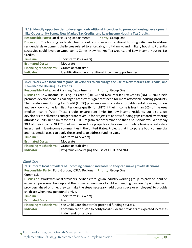**8.19: Identify opportunities to leverage nontraditional incentives to promote housing development like Opportunity Zones, New Market Tax Credits, and Low-Income Housing Tax Credits.**

**Responsible Party: Local Housing Departments | Priority: Group One** 

**Discussion:** The housing leadership team should consider non-traditional housing initiatives to address residential development challenges related to affordable, multi-family, and military housing. Potential strategies could leverage Opportunity Zones, New Market Tax Credits, and Low-Income Housing Tax Credits.

| Timeline:                                         | Short-term (1-3 years)                                   |
|---------------------------------------------------|----------------------------------------------------------|
| <b>Estimated Costs:</b>                           | Moderate                                                 |
| <b>Financing Mechanisms:</b> Grants or staff time |                                                          |
| Indicator:                                        | Identification of nontraditional incentive opportunities |

**8.21: Work with local and regional developers to encourage the use of New Market Tax Credits, and Low-Income Housing Tax Credits.**

**Responsible Party: Local Planning Departments | Priority: Group One** 

**Discussion:** Low Income Housing Tax Credit (LIHTC) and New Market Tax Credits (NMTC) could help promote development in challenged areas with significant need for more affordable housing products. The Low-Income Housing Tax Credit (LIHTC) program aims to create affordable rental housing for low and very low-income families. Residents qualify for LIHTC if their income is less than 60% of the Area Median Income (AMI). These credits ensure rent limits for low-income residents but also allow developers to sell credits and generate revenue for projects to address funding gaps created by offering affordable units. Rent limits for the LIHTC Program are determined so that a household would only pay 30% of their income. NMTC's help with mixed use projects as they aim to stimulate business real estate investment in low-income communities in the United States. Projects that incorporate both commercial and residential uses can apply these credits to address funding gaps.

| Timeline:                                         | Mid-term (4-5 years)                           |
|---------------------------------------------------|------------------------------------------------|
| <b>Estimated Costs:</b>                           | Moderate                                       |
| <b>Financing Mechanisms:</b> Grants or staff time |                                                |
| Indicator:                                        | Programs encouraging the use of LIHTC and NMTC |

# Child Care

| 9.3: Inform local providers of upcoming demand increases so they can make growth decisions.           |                                                                              |                            |  |
|-------------------------------------------------------------------------------------------------------|------------------------------------------------------------------------------|----------------------------|--|
| Responsible Party: Fort Gordon; CSRA Regional                                                         |                                                                              | <b>Priority: Group One</b> |  |
| Commission                                                                                            |                                                                              |                            |  |
| Discussion: Work with local providers, perhaps through an industry working group, to provide input on |                                                                              |                            |  |
| expected personnel buildup and the projected number of children needing daycare. By working with      |                                                                              |                            |  |
| providers ahead of time, they can take the steps necessary (additional space or employees) to provide |                                                                              |                            |  |
| childcare when new personnel arrive.                                                                  |                                                                              |                            |  |
| <b>Timeline:</b>                                                                                      | Short-term (1-3 years)                                                       |                            |  |
| <b>Estimated Costs:</b>                                                                               | Low                                                                          |                            |  |
| <b>Financing Mechanisms:</b>                                                                          | See Child Care chapter for potential funding sources.                        |                            |  |
| Indicator:                                                                                            | Communication path to notify local childcare providers of expected increases |                            |  |
|                                                                                                       | in demand for services.                                                      |                            |  |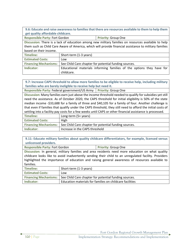**9.6: Educate and raise awareness to families that there are resources available to them to help them get quality affordable childcare.**

**Responsible Party: Fort Gordon | Priority: Group One Discussion:** There is a lack of education among new military families on resources available to help them such as Child Care Aware of America, which will provide financial assistance to military families based on their income. **Timeline:** Short-term (1-3 years) **Estimated Costs:** Low

| ESUMICU COSIS. | LUW                                                                                 |  |  |
|----------------|-------------------------------------------------------------------------------------|--|--|
|                | Financing Mechanisms:   See Child Care chapter for potential funding sources.       |  |  |
| Indicator:     | Educational materials informing families of the options they have for<br>childcare. |  |  |

**9.7: Increase CAPS threshold to allow more families to be eligible to receive help, including military families who are barely ineligible to receive help but need it.**

**Responsible Party: Federal government/US Army | Priority: Group One** 

**Discussion:** Many families earn just above the income threshold needed to qualify for subsidies yet still need the assistance. As of October 2020, the CAPS threshold for initial eligibility is 50% of the state median income -\$33,688 for a family of three and \$40,105 for a family of four. Another challenge is that even if families that qualify under the CAPS threshold, they still need to afford the initial costs of settling into a facility pay costs for a few weeks until CAPS or other financial assistance is processed.

| Timeline:                    | Long-term (5+ years)                                  |
|------------------------------|-------------------------------------------------------|
| <b>Estimated Costs:</b>      | High                                                  |
| <b>Financing Mechanisms:</b> | See Child Care chapter for potential funding sources. |
| Indicator:                   | Increase in the CAPS threshold                        |

**9.11: Educate military families about quality childcare differentiators, for example, licensed versus unlicensed providers.**

**Responsible Party: Fort Gordon <b>Priority:** Group One **Discussion:** In general, military families and area residents need more education on what quality childcare looks like to avoid inadvertently sending their child to an unregulated facility. Providers highlighted the importance of education and raising general awareness of resources available to families.

| Timeline:               | Short-term (1-3 years)                                                      |
|-------------------------|-----------------------------------------------------------------------------|
| <b>Estimated Costs:</b> | Low                                                                         |
|                         | Financing Mechanisms: See Child Care chapter for potential funding sources. |
| Indicator:              | Education materials for families on childcare facilities                    |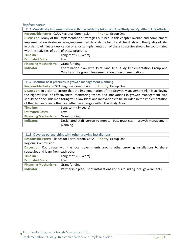#### Implementation

| 11.1: Coordinate implementation activities with the Joint Land Use Study and Quality of Life efforts.  |                      |                                                                      |  |
|--------------------------------------------------------------------------------------------------------|----------------------|----------------------------------------------------------------------|--|
| Responsible Party: -CSRA Regional Commission                                                           |                      | <b>Priority: Group One</b>                                           |  |
| Discussion: Many of the implementation strategies outlined in this chapter overlap and complement      |                      |                                                                      |  |
| implementation strategies being implemented through the Joint Land Use Study and the Quality of Life.  |                      |                                                                      |  |
| In order to eliminate duplication of efforts, implementation of these strategies should be coordinated |                      |                                                                      |  |
| with the activities of both of those programs.                                                         |                      |                                                                      |  |
| <b>Timeline:</b>                                                                                       | Long-term (5+ years) |                                                                      |  |
| <b>Estimated Costs:</b>                                                                                | Low                  |                                                                      |  |
| <b>Financing Mechanisms:</b>                                                                           | Grant funding        |                                                                      |  |
| Indicator:                                                                                             |                      | Coordination plan with Joint Land Use Study Implementation Group and |  |
|                                                                                                        |                      | Quality of Life group; Implementation of recommendations             |  |

#### **11.2: Monitor best practices in growth management planning.**

**Responsible Party: -CSRA Regional Commission Priority: Group One** 

**Discussion:** In order to ensure that the implementation of the Growth Management Plan is achieving the highest level of effectiveness, monitoring trends and innovations in growth management plan should be done. This monitoring will allow ideas and innovations to be included in the implementation of the plan and create the most effective changes within the Study Area.

| Timeline:                                  | Long-term (5+ years)                                                               |
|--------------------------------------------|------------------------------------------------------------------------------------|
| <b>Estimated Costs:</b>                    | Low                                                                                |
| <b>Financing Mechanisms:</b> Grant funding |                                                                                    |
| Indicator:                                 | Designated staff person to monitor best practices in growth management<br>planning |

| 11.3: Develop partnerships with other growing installations.                                  |                                                                           |                            |  |
|-----------------------------------------------------------------------------------------------|---------------------------------------------------------------------------|----------------------------|--|
| Responsible Party: Alliance for Fort Gordon/CSRA                                              |                                                                           | <b>Priority: Group One</b> |  |
| <b>Regional Commission</b>                                                                    |                                                                           |                            |  |
| Discussion: Coordinate with the local governments around other growing installations to share |                                                                           |                            |  |
| strategies and learn from each other.                                                         |                                                                           |                            |  |
| <b>Timeline:</b>                                                                              | Long-term (5+ years)                                                      |                            |  |
| <b>Estimated Costs:</b>                                                                       | Low                                                                       |                            |  |
| <b>Financing Mechanisms:</b>                                                                  | <b>Grant funding</b>                                                      |                            |  |
| Indicator:                                                                                    | Partnership plan, list of installations and surrounding local governments |                            |  |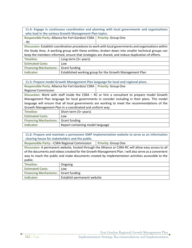**11.4: Engage in continuous coordination and planning with local governments and organizations who lead in the various Growth Management Plan topics.**

| Responsible Party: Alliance for Fort Gordon/CSRA   Priority: Group One |  |
|------------------------------------------------------------------------|--|
| - RC                                                                   |  |

**Discussion:** Establish coordination procedures to work with local governments and organizations within the Study Area. A working group with these entities, broken down into smaller technical groups can keep the members informed, ensure that strategies are shared, and reduce duplication of efforts.

| Timeline:                                  | Long-term (5+ years)                                     |
|--------------------------------------------|----------------------------------------------------------|
| <b>Estimated Costs:</b>                    | Low                                                      |
| <b>Financing Mechanisms:</b> Grant funding |                                                          |
| Indicator:                                 | Established working group for the Growth Management Plan |

| 11.5: Prepare model Growth Management Plan language for local and regional plans.               |                                                                                                 |                            |  |
|-------------------------------------------------------------------------------------------------|-------------------------------------------------------------------------------------------------|----------------------------|--|
| Responsible Party: Alliance for Fort Gordon/CSRA                                                |                                                                                                 | <b>Priority: Group One</b> |  |
| <b>Regional Commission</b>                                                                      |                                                                                                 |                            |  |
| Discussion: Work with staff inside the CSRA $-$ RC or hire a consultant to prepare model Growth |                                                                                                 |                            |  |
|                                                                                                 | Management Plan language for local governments in consider including in their plans. This model |                            |  |
| language will ensure that all local governments are working to meet the recommendations of the  |                                                                                                 |                            |  |
| Growth Management Plan in a coordinated and uniform way.                                        |                                                                                                 |                            |  |
| <b>Timeline:</b>                                                                                | Short-term (5+ years)                                                                           |                            |  |
| <b>Estimated Costs:</b>                                                                         | Low                                                                                             |                            |  |
| <b>Financing Mechanisms:</b>                                                                    | Grant funding                                                                                   |                            |  |
| Indicator:                                                                                      | Report containing model language                                                                |                            |  |

**11.6: Prepare and maintain a permanent GMP implementation website to serve as an information clearing house for stakeholders and the public.**

**Responsible Party: -CSRA Regional Commission | Priority: Group One** 

**Discussion:** A permanent website, hosted through the Alliance or CSRA-RC will allow easy access to all of the documents and videos created for the Growth Management Plan. I will also serve as a convenient way to reach the public and make documents created by implementation activities accessible to the public.

| Timeline:                                  | Ongoing                     |
|--------------------------------------------|-----------------------------|
| <b>Estimated Costs:</b>                    | Low                         |
| <b>Financing Mechanisms:</b> Grant funding |                             |
| Indicator:                                 | Establish permanent website |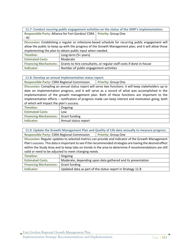**11.7: Conduct recuring public engagement activities on the status of the GMP's implementation. Responsible Party:** Alliance for Fort Gordon/ CSRA **Priority:** Group One - RC

**Discussion:** Establishing a regular or milestone-based schedule for recurring public engagement will allow the public to keep up with the progress of the Growth Management plan, and it will allow those implementing the plan to obtain public input when needed.

| Timeline:               | Long-term (5+ years)                                                                        |
|-------------------------|---------------------------------------------------------------------------------------------|
| <b>Estimated Costs:</b> | Moderate                                                                                    |
|                         | Financing Mechanisms:   Grants to hire consultants, or regular staff costs if done in-house |
| Indicator:              | Number of public engagement activities                                                      |

**11.8: Develop an annual implementation status report.**

**Responsible Party: CSRA Regional Commission | Priority: Group One** 

**Discussion:** Compiling an annual status report will serve two functions: it will keep stakeholders up to date on implementation progress, and it will serve as a record of what was accomplished in the implementation of the growth management plan. Both of these functions are important to the implementation efforts – notification of progress made can keep interest and motivation going, both of which will impact the plan's success.

| Timeline:                                  | Ongoing              |
|--------------------------------------------|----------------------|
| <b>Estimated Costs:</b>                    | Low                  |
| <b>Financing Mechanisms:</b> Grant funding |                      |
| Indicator:                                 | Annual status report |

**11.9: Update the Growth Management Plan and Quality of Life data annually to measure progress. Responsible Party: CSRA Regional Commission | Priority: Group One** 

**Discussion:** Regular updates to selected metrics can provide and indicator of the Growth Management Plan's success. This data is important to see if the recommended strategies are having the desired effect within the Study Area and to keep tabs on trends in the area to determine if recommendations are still valid or need to be adjusted to meet changing needs.

| Timeline:                                  | Ongoing                                                     |
|--------------------------------------------|-------------------------------------------------------------|
| <b>Estimated Costs:</b>                    | Moderate, depending upon data gathered and its presentation |
| <b>Financing Mechanisms:</b> Grant funding |                                                             |
| Indicator:                                 | Updated data as part of the status report in Strategy 11.8  |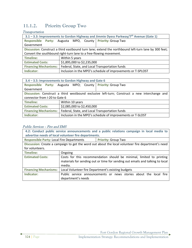# **11.1.2. Priority Group Two**

# **Transportation**

| 3.1 – 3.3: Improvements to Gordon Highway and Jimmie Dyess Parkway/ $7th$ Avenue (Gate 1) |                                                                                                      |  |  |
|-------------------------------------------------------------------------------------------|------------------------------------------------------------------------------------------------------|--|--|
|                                                                                           | Responsible Party: Augusta MPO, County Priority: Group Two                                           |  |  |
| Government                                                                                |                                                                                                      |  |  |
|                                                                                           | Discussion: Construct a third eastbound turn lane; extend the northbound left-turn lane by 300 feet; |  |  |
| Convert the southbound right-turn lane to a free-flowing movement.                        |                                                                                                      |  |  |
| <b>Timeline:</b>                                                                          | Within 5 years                                                                                       |  |  |
| <b>Estimated Costs:</b>                                                                   | \$1,895,000 to \$2,235,000                                                                           |  |  |
| <b>Financing Mechanisms:</b>                                                              | Federal, State, and Local Transportation funds                                                       |  |  |
| Indicator:                                                                                | Inclusion in the MPO's schedule of improvements or T-SPLOST                                          |  |  |

| 3.4 - 3.5: Improvements to Gordon Highway and Gate 6       |                                                                                              |  |  |
|------------------------------------------------------------|----------------------------------------------------------------------------------------------|--|--|
| Responsible Party: Augusta MPO; County Priority: Group Two |                                                                                              |  |  |
| Government                                                 |                                                                                              |  |  |
|                                                            | Discussion: Construct a third westbound exclusive left-turn; Construct a new interchange and |  |  |
| connector from I-20 to Gate 6                              |                                                                                              |  |  |
| <b>Timeline:</b>                                           | Within 10 years                                                                              |  |  |
| <b>Estimated Costs:</b>                                    | \$2,085,000 to \$2,450,000                                                                   |  |  |
| <b>Financing Mechanisms:</b>                               | Federal, State, and Local Transportation funds                                               |  |  |
| Indicator:                                                 | Inclusion in the MPO's schedule of improvements or T-SLOST                                   |  |  |

# Public Services – Fire and EMS

| 4.2: Conduct public service announcements and a public relations campaign in local media to |                                                                                                    |  |  |
|---------------------------------------------------------------------------------------------|----------------------------------------------------------------------------------------------------|--|--|
|                                                                                             | advertise needs of local volunteer fire departments.                                               |  |  |
|                                                                                             | <b>Responsible Party: Local Fire Departments</b><br><b>Priority: Group Two</b>                     |  |  |
|                                                                                             | Discussion: Create a campaign to get the word out about the local volunteer fire department's need |  |  |
| for volunteers.                                                                             |                                                                                                    |  |  |
| Timeline:                                                                                   | Ongoing                                                                                            |  |  |
| <b>Estimated Costs:</b>                                                                     | Costs for this recommendation should be minimal, limited to printing                               |  |  |
|                                                                                             | materials for sending out or time for sending out emails and talking to local                      |  |  |
|                                                                                             | media.                                                                                             |  |  |
| <b>Financing Mechanisms:</b>                                                                | Local Volunteer fire Department's existing budgets                                                 |  |  |
| Indicator:                                                                                  | Public service announcements or news stories about the local fire                                  |  |  |
|                                                                                             | department's needs                                                                                 |  |  |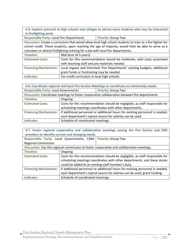**4.3: Explore outreach to high schools and colleges to attract more students who may be interested in firefighting work.** 

**Responsible Party: Local Fire Departments Priority: Group Two** 

**Discussion:** Create a curriculum that would allow local high school students to train as a fire fighter for school credit. These students, upon reaching the age of majority, would then be able to serve as a volunteer or attend firefighting training for a job with local fire departments.

| Timeline:               | Mid-term (4-5 years)                                                                               |  |
|-------------------------|----------------------------------------------------------------------------------------------------|--|
| <b>Estimated Costs:</b> | Costs for this recommendation should be moderate, with costs associated                            |  |
|                         | with teaching staff and any materials needed.                                                      |  |
|                         | Financing Mechanisms:   Local regular and Volunteer Fire Departments' existing budgets; additional |  |
|                         | grant funds or fundraising may be needed.                                                          |  |
| Indicator:              | For-credit curriculum in local high schools                                                        |  |

| 4.6: Coordinate regional and local Fire Service Meetings to coordinate on community needs.    |                                                                               |                            |
|-----------------------------------------------------------------------------------------------|-------------------------------------------------------------------------------|----------------------------|
| <b>Responsible Party: Local Governments</b>                                                   |                                                                               | <b>Priority: Group Two</b> |
| Discussion: Coordinate meetings to foster cooperative collaboration between fire departments. |                                                                               |                            |
| <b>Timeline:</b>                                                                              | Ongoing                                                                       |                            |
| <b>Estimated Costs:</b>                                                                       | Costs for this recommendation should be negligible, as staff responsible for  |                            |
|                                                                                               | scheduling meetings coordinates with other departments.                       |                            |
| <b>Financing Mechanisms:</b>                                                                  | If additional personnel or additional hours for existing personnel is needed, |                            |
|                                                                                               | each department's typical source for salaries can be used.                    |                            |
| Indicator:                                                                                    | Schedule of coordinated meetings.                                             |                            |

| 4.7: Foster regional cooperative and collaborative meetings among the Fire Service and EMS<br>providers to identify current and changing needs. |                                                                               |  |  |
|-------------------------------------------------------------------------------------------------------------------------------------------------|-------------------------------------------------------------------------------|--|--|
| Responsible Party: Local Governments, CSRA  <br><b>Priority: Group Two</b>                                                                      |                                                                               |  |  |
| <b>Regional Commission</b>                                                                                                                      |                                                                               |  |  |
| Discussion: Use the regional commission to foster cooperative and collaborative meetings.                                                       |                                                                               |  |  |
| Timeline:                                                                                                                                       | Ongoing                                                                       |  |  |
| <b>Estimated Costs:</b>                                                                                                                         | Costs for this recommendation should be negligible, as staff responsible for  |  |  |
|                                                                                                                                                 | scheduling meetings coordinates with other departments, and these duties      |  |  |
|                                                                                                                                                 | could be added to an existing staff member's duty.                            |  |  |
| <b>Financing Mechanisms:</b>                                                                                                                    | If additional personnel or additional hours for existing personnel is needed, |  |  |
|                                                                                                                                                 | each department's typical source for salaries can be used; grant funding.     |  |  |
| Indicator:                                                                                                                                      | Schedule of coordinated meetings.                                             |  |  |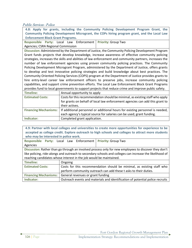# Public Services - Police

| 4.8: Apply for grants, including the Community Policing Development Program Grant, the              |                                                                                                         |  |
|-----------------------------------------------------------------------------------------------------|---------------------------------------------------------------------------------------------------------|--|
| Community Policing Development Microgrant, the COPs hiring program grant, and the Local Law         |                                                                                                         |  |
| <b>Enforcement Block Grant Programs.</b>                                                            |                                                                                                         |  |
|                                                                                                     | <b>Priority: Group Two</b><br>Responsible Party: Local Law Enforcement                                  |  |
| Agencies; CSRA Regional Commission                                                                  |                                                                                                         |  |
|                                                                                                     | Discussion: Administered by the Department of Justice, the Community Policing Development Program       |  |
|                                                                                                     | Grant funds projects that develop knowledge, increase awareness of effective community policing         |  |
|                                                                                                     | strategies, increases the skills and abilities of law enforcement and community partners, increases the |  |
|                                                                                                     | number of law enforcement agencies using proven community policing practices. The Community             |  |
|                                                                                                     | Policing Development Microgrant Program, administered by the Department of Justice, offers grants       |  |
|                                                                                                     | to develop and test innovative policing strategies and build knowledge about best practices. The        |  |
| Community Oriented Policing Services (COPS) program at the Department of Justice provides grants to |                                                                                                         |  |
| hire entry-level career law enforcement officers to preserve jobs, increase community policing      |                                                                                                         |  |
| capabilities, and support crime prevention efforts. The Local Law Enforcement Block Grant Programs  |                                                                                                         |  |
| provides fund to local governments to support projects that reduce crime and improve public safety. |                                                                                                         |  |
| <b>Timeline:</b>                                                                                    | Annual opportunity to apply                                                                             |  |
| <b>Estimated Costs:</b>                                                                             | Costs for this recommendation should be minimal, as existing staff who apply                            |  |
|                                                                                                     | for grants on behalf of local law enforcement agencies can add this grant to                            |  |
|                                                                                                     | their actives.                                                                                          |  |
| <b>Financing Mechanisms:</b>                                                                        | If additional personnel or additional hours for existing personnel is needed,                           |  |
|                                                                                                     | each agency's typical source for salaries can be used; grant funding.                                   |  |
| Indicator:                                                                                          | Completed grant application.                                                                            |  |
|                                                                                                     |                                                                                                         |  |

**4.9: Partner with local colleges and universities to create more opportunities for experience to be accepted as college credit. Explore outreach to high schools and colleges to attract more students who may be interested in police work. Responsible Party:** Local Law Enforcement **Priority:** Group Two Agencies **Discussion:** Rather than go through an involved process only for new employees to discover they don't like policing, ride-alongs and outreach to secondary schools and colleges can increase the likelihood of reaching candidates whose interest in the job would be maintained. Timeline: **Disk Congoing** Estimated Costs: Costs for this recommendation should be minimal, as existing staff who perform community outreach can add these t asks to their duties. **Financing Mechanisms:** General revenues or grant funding

**Indicator:** Outreach events and materials and identification of potential police recruits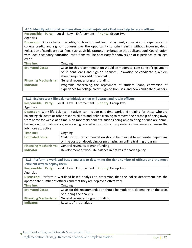**4.10: Identify additional compensation or on-the-job perks that may help to retain officers.**

**Responsible Party:** Local Law Enforcement **Priority:** Group Two Agencies

**Discussion:** Out-of-the-box benefits, such as student loan repayment, conversion of experience for college credit, and sign-on bonuses give the opportunity to gain training without incurring debt. Relaxation of candidate qualifiers, such as visible tattoos, may broaden the applicant pool. Coordination with local secondary education institutions will be necessary for conversion of experience as college credit.

| Timeline:                    | Ongoing                                                                                                                                                                                      |
|------------------------------|----------------------------------------------------------------------------------------------------------------------------------------------------------------------------------------------|
| <b>Estimated Costs:</b>      | Costs for this recommendation should be moderate, consisting of repayment<br>of student loans and sign-on bonuses. Relaxation of candidate qualifiers<br>should require no additional costs. |
| <b>Financing Mechanisms:</b> | General revenues or grant funding                                                                                                                                                            |
| Indicator:                   | Programs concerning the repayment of student loans, conversion of<br>experience for college credit, sign-on bonuses, and new candidate qualifiers.                                           |

|                                                                                                        |         |                                   | 4.11: Explore work-life balance initiatives that will attract and retain officers.                  |
|--------------------------------------------------------------------------------------------------------|---------|-----------------------------------|-----------------------------------------------------------------------------------------------------|
| <b>Responsible</b>                                                                                     |         | Party: Local Law Enforcement      | <b>Priority: Group Two</b>                                                                          |
| Agencies                                                                                               |         |                                   |                                                                                                     |
|                                                                                                        |         |                                   | Discussion: Work-life balance initiatives can include part-time work and training for those who are |
| balancing childcare or other responsibilities and online training to remove the hardship of being away |         |                                   |                                                                                                     |
|                                                                                                        |         |                                   | from home for weeks at a time. Non-monetary benefits, such as being able to bring a squad are home, |
| having a uniform allowance, or allowing relaxed uniforms in appropriate circumstances can make the     |         |                                   |                                                                                                     |
| job more attractive.                                                                                   |         |                                   |                                                                                                     |
| Timeline:                                                                                              | Ongoing |                                   |                                                                                                     |
| <b>Estimated Costs:</b>                                                                                |         |                                   | Costs for this recommendation should be minimal to moderate, depending                              |
|                                                                                                        |         |                                   | on the costs on developing or purchasing an online training program.                                |
| <b>Financing Mechanisms:</b>                                                                           |         | General revenues or grant funding |                                                                                                     |

**Indicator:** Development of work-life balance initiatives for each agency

| 4.13: Perform a workload-based analysis to determine the right number of officers and the most<br>efficient way to deploy them. |                                          |                                                                          |
|---------------------------------------------------------------------------------------------------------------------------------|------------------------------------------|--------------------------------------------------------------------------|
|                                                                                                                                 | Responsible Party: Local Law Enforcement | <b>Priority: Group Two</b>                                               |
| Agencies                                                                                                                        |                                          |                                                                          |
| Discussion: Perform a workload-based analysis to determine that the police department has the                                   |                                          |                                                                          |
| appropriate number of officers and that they are deployed effectively.                                                          |                                          |                                                                          |
| <b>Timeline:</b>                                                                                                                | Ongoing                                  |                                                                          |
| <b>Estimated Costs:</b>                                                                                                         |                                          | Costs for this recommendation should be moderate, depending on the costs |
|                                                                                                                                 | of running the analysis                  |                                                                          |
| <b>Financing Mechanisms:</b>                                                                                                    | General revenues or grant funding        |                                                                          |
| Indicator:                                                                                                                      | Results of the analysis                  |                                                                          |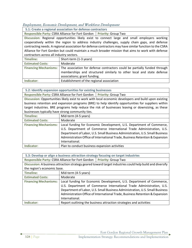# Employment, Economic Development, and Workforce Development

**5.1: Create a regional association for defense contractors**

Responsible Party: CSRA Alliance for Fort Gordon | Priority: Group Two

**Discussion:** Regional opportunities likely exist to connect large and small employers working cooperatively within the region to address industry challenges, supply chain gaps, and defense contracting needs. A regional association for defense contractors may have similar function to the CSRA Alliance for Fort Gordon but could maintain a much broader mission that aims to work with defense contractors across all industry sectors.

| Timeline:               | Short-term (1-3 years)                                                                                                                                                                                     |
|-------------------------|------------------------------------------------------------------------------------------------------------------------------------------------------------------------------------------------------------|
| <b>Estimated Costs:</b> | Moderate                                                                                                                                                                                                   |
|                         | Financing Mechanisms:   The association for defense contractors could be partially funded through<br>memberships and structured similarly to other local and state defense<br>associations; grant funding. |
| Indicator:              | Establishment of the regional association                                                                                                                                                                  |

**5.2: Identify expansion opportunities for existing businesses**

**Responsible Party: CSRA Alliance for Fort Gordon | Priority: Group Two** 

**Discussion:** Opportunities likely exist to work with local economic developers and build upon existing business retention and expansion programs (BRE) to help identify opportunities for suppliers within target industries. BRE programs help reduce the risk of businesses leaving or downsizing, as these businesses typically have strong community ties.

| Timeline:                    | Mid-term (4-5 years)                                                                                                                                                                                                                                                                                                           |
|------------------------------|--------------------------------------------------------------------------------------------------------------------------------------------------------------------------------------------------------------------------------------------------------------------------------------------------------------------------------|
| <b>Estimated Costs:</b>      | Moderate                                                                                                                                                                                                                                                                                                                       |
| <b>Financing Mechanisms:</b> | Local funding for Economic Development, U.S. Department of Commerce,<br>U.S. Department of Commerce International Trade Administration, U.S.<br>Department of Labor, U.S. Small Business Administration, U.S. Small Business<br>Administration Office of International Trade, Business Retention & Expansion<br>International. |
| Indicator:                   | Plan to conduct business expansion activities                                                                                                                                                                                                                                                                                  |

| 5.3: Develop or align a business attraction strategy focusing on target industries                        |                                                                                                                                                                                                                                                                                                                                |  |
|-----------------------------------------------------------------------------------------------------------|--------------------------------------------------------------------------------------------------------------------------------------------------------------------------------------------------------------------------------------------------------------------------------------------------------------------------------|--|
| Responsible Party: CSRA Alliance for Fort Gordon   Priority: Group Two                                    |                                                                                                                                                                                                                                                                                                                                |  |
| Discussion: A business attraction strategy geared toward target industries could help build and diversify |                                                                                                                                                                                                                                                                                                                                |  |
| the region's economic base.                                                                               |                                                                                                                                                                                                                                                                                                                                |  |
| <b>Timeline:</b>                                                                                          | Mid-term (4-5 years)                                                                                                                                                                                                                                                                                                           |  |
| <b>Estimated Costs:</b>                                                                                   | Moderate                                                                                                                                                                                                                                                                                                                       |  |
| <b>Financing Mechanisms:</b>                                                                              | Local funding for Economic Development, U.S. Department of Commerce,<br>U.S. Department of Commerce International Trade Administration, U.S.<br>Department of Labor, U.S. Small Business Administration, U.S. Small Business<br>Administration Office of International Trade, Business Retention & Expansion<br>International. |  |
| Indicator:                                                                                                | Report outlining the business attraction strategies and activities                                                                                                                                                                                                                                                             |  |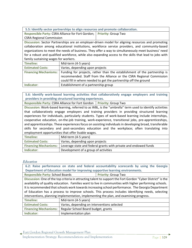| 5.5: Identify sector partnerships to align resources and promote collaboration. |  |
|---------------------------------------------------------------------------------|--|
|---------------------------------------------------------------------------------|--|

**Responsible Party:** CSRA Alliance for Fort Gordon; CSRA Regional Commission **Priority:** Group Two

**Discussion:** Sector Partnerships are an employer-driven model for aligning resources and promoting collaboration among educational institutions, workforce service providers, and community-based organizations to meet the needs of business. They offer a way to simultaneously meet business' need for a robust and qualified workforce, while also expanding access to the skills that lead to jobs with family sustaining wages for workers.

| Timeline:               | Mid-term (4-5 years)                                                                              |
|-------------------------|---------------------------------------------------------------------------------------------------|
| <b>Estimated Costs:</b> | Varies, depending upon projects                                                                   |
|                         | Financing Mechanisms:   Funding for projects, rather than the establishment of the partnership is |
|                         | recommended. Staff from the Alliance or the CSRA Regional Commission                              |
|                         | could fill in where needed to get the partnership off the ground                                  |
| Indicator:              | Establishment of a partnership group                                                              |

**5.6: Identify work-based learning activities that collaboratively engage employers and training providers in providing structured learning experiences.**

**Responsible Party: CSRA Alliance for Fort Gordon | Priority: Group Two** 

**Discussion:** Work-based learning, referred to as WBL, is the "umbrella" term used to identify activities that collaboratively engage employers and training providers in providing structured learning experiences for individuals, particularly students. Types of work-based learning include internships, cooperative education, on-the-job training, work-experience, transitional jobs, pre-apprenticeships, and apprenticeships. These experiences focus on assisting individuals in developing broad, transferable skills for secondary and post-secondary education and the workplace; often translating into employment opportunities that offer livable wages.

| Timeline:                    | Mid-term (4-5 years)                                             |
|------------------------------|------------------------------------------------------------------|
| <b>Estimated Costs:</b>      | Varies, depending upon projects                                  |
| <b>Financing Mechanisms:</b> | Leverage state and federal grants with private and endowed funds |
| Indicator:                   | Development of a group of activities                             |

# **Education**

|                                                                                                             |                                                                               | 6.2: Raise performance on state and federal accountability scorecards by using the Georgia |  |  |
|-------------------------------------------------------------------------------------------------------------|-------------------------------------------------------------------------------|--------------------------------------------------------------------------------------------|--|--|
|                                                                                                             | Department of Education model for improving supportive learning environments. |                                                                                            |  |  |
|                                                                                                             | <b>Responsible Party: School Boards</b><br><b>Priority: Group Two</b>         |                                                                                            |  |  |
| Discussion: One of the top criteria in attracting talent to support the Fort Gordon "Cyber District" is the |                                                                               |                                                                                            |  |  |
| availability of quality education. Families want to live in communities with higher performing schools.     |                                                                               |                                                                                            |  |  |
| It is recommended that schools work towards increasing school performance. The Georgia Department           |                                                                               |                                                                                            |  |  |
| of Education has a process to improve schools. This process includes identifying needs, selecting           |                                                                               |                                                                                            |  |  |
| interventions, planning implementation, implementing the plan, and examining progress.                      |                                                                               |                                                                                            |  |  |
| <b>Timeline:</b>                                                                                            | Mid-term (4-5 years)                                                          |                                                                                            |  |  |
| <b>Estimated Costs:</b>                                                                                     | Varies, depending on interventions selected                                   |                                                                                            |  |  |
| <b>Financing Mechanisms:</b>                                                                                | Regular School Board budget, grants                                           |                                                                                            |  |  |
| Indicator:                                                                                                  | Implementation plan                                                           |                                                                                            |  |  |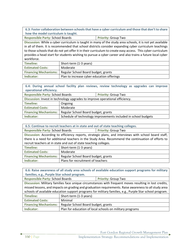**6.3: Foster collaboration between schools that have a cyber curriculum and those that don't to share how the model curriculum is taught.**

**Responsible Party: School Boards <b>Priority:** Group Two

**Discussion:** While a cyber curriculum is taught in many of the study area schools, it is not yet available in all of them. It is recommended that school districts consider expanding cyber curriculum teachings to those schools that do not yet offer it in their curriculum to create easy access. This cyber curriculum provides a head start for students wishing to pursue a cyber career and also trains a future local cyber workforce.

| Timeline:               | Short-term (1-3 years)                                             |
|-------------------------|--------------------------------------------------------------------|
| <b>Estimated Costs:</b> | Moderate                                                           |
|                         | <b>Financing Mechanisms:</b>   Regular School Board budget, grants |
| Indicator:              | Plan to increase cyber education offerings                         |

| 6.4: During annual school facility plan reviews, review technology as upgrades can improve |                                                                |  |  |
|--------------------------------------------------------------------------------------------|----------------------------------------------------------------|--|--|
| operational efficiency.                                                                    |                                                                |  |  |
| <b>Responsible Party: School Boards</b><br><b>Priority: Group Two</b>                      |                                                                |  |  |
| Discussion: Invest in technology upgrades to improve operational efficiency.               |                                                                |  |  |
| <b>Timeline:</b>                                                                           | Ongoing                                                        |  |  |
| <b>Estimated Costs:</b>                                                                    | Moderate                                                       |  |  |
| <b>Financing Mechanisms:</b>                                                               | Regular School Board budget, grants                            |  |  |
| Indicator:                                                                                 | Schedule of technology improvements included in school budgets |  |  |

| 6.5: Continue to recruit teachers at in state and out of state teaching colleges.                     |                                     |                            |  |
|-------------------------------------------------------------------------------------------------------|-------------------------------------|----------------------------|--|
| <b>Responsible Party: School Boards</b>                                                               |                                     | <b>Priority: Group Two</b> |  |
| Discussion: According to efficiency reports, strategic plans, and interviews with school board staff, |                                     |                            |  |
| there is a need for additional teachers in the Study Area. Recommend the continuation of efforts to   |                                     |                            |  |
| recruit teachers at in state and out of state teaching colleges.                                      |                                     |                            |  |
| Timeline:                                                                                             | Short-term (1-3 years)              |                            |  |
| <b>Estimated Costs:</b>                                                                               | Moderate                            |                            |  |
| <b>Financing Mechanisms:</b>                                                                          | Regular School Board budget, grants |                            |  |
| Indicator:                                                                                            | Plans for recruitment of teachers   |                            |  |

| 6.6: Raise awareness of all study area schools of available education support programs for military      |                                                          |                            |  |
|----------------------------------------------------------------------------------------------------------|----------------------------------------------------------|----------------------------|--|
| families, e.g., Purple Star school program.                                                              |                                                          |                            |  |
| <b>Responsible Party: School Boards</b>                                                                  |                                                          | <b>Priority: Group Two</b> |  |
| Discussion: Military families face unique circumstances with frequent moves resulting in lost credits,   |                                                          |                            |  |
| missed lessons, and impacts on grading and graduation requirements. Raise awareness to all study area    |                                                          |                            |  |
| schools of available education support programs for military families, e.g., Purple Star school program. |                                                          |                            |  |
| <b>Timeline:</b>                                                                                         | Short-term (1-3 years)                                   |                            |  |
| <b>Estimated Costs:</b>                                                                                  | Minimal                                                  |                            |  |
| <b>Financing Mechanisms:</b>                                                                             | Regular School Board budget, grants                      |                            |  |
| Indicator:                                                                                               | Plan for education of local schools on military programs |                            |  |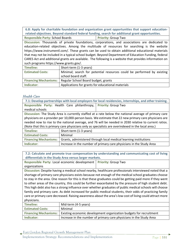**6.8: Apply for charitable foundation and organization grant opportunities that support educationrelated objectives. Beyond standard federal funding, search for additional grant opportunities.** 

**Responsible Party: School Boards <b>Priority:** Group Two

**Discussion:** Thousands of private foundations, corporations, and associations are dedicated to education-related objectives. Among the multitude of resources for searching is the website https://www.instrumentl.com/. These grants can be used to obtain additional educational materials that may not be included in a typical school budget. Beyond Department of Education Funding, federal CARES Act and additional grants are available. The following is a website that provides information on such programs https://www.grants.gov/.

| Timeline:                    | Short-term (1-3 years)                                                 |
|------------------------------|------------------------------------------------------------------------|
| <b>Estimated Costs:</b>      | Minimal; search for potential resources could be performed by existing |
|                              | school board staff.                                                    |
| <b>Financing Mechanisms:</b> | Regular School Board budget, grants                                    |
| Indicator:                   | Applications for grants for educational materials                      |

# Health Care

| 7.1: Develop partnerships with local employers for local residencies, internships, and other training. |                                                                     |                                                                                                       |
|--------------------------------------------------------------------------------------------------------|---------------------------------------------------------------------|-------------------------------------------------------------------------------------------------------|
|                                                                                                        | Responsible Party: Health Care philanthropy,                        | <b>Priority: Group Two</b>                                                                            |
| medical schools                                                                                        |                                                                     |                                                                                                       |
| Discussion: The Study Area is currently staffed at a rate below the national average of primary care   |                                                                     |                                                                                                       |
|                                                                                                        |                                                                     | physicians on a provider per 10,000-person basis. We estimate that 22 new primary care physicians are |
| needed now to rise to the national average, and 76 will be needed in 2030 relative to current ratios.  |                                                                     |                                                                                                       |
| (Note that this is primary care physicians only as specialists are overindexed in the local area.)     |                                                                     |                                                                                                       |
| <b>Timeline:</b>                                                                                       | Short-term (1-3 years)                                              |                                                                                                       |
| <b>Estimated Costs:</b>                                                                                | Minimal                                                             |                                                                                                       |
| <b>Financing Mechanisms:</b>                                                                           | Grants, administered through local medical learning institutions    |                                                                                                       |
| Indicator:                                                                                             | Increase in the number of primary care physicians in the Study Area |                                                                                                       |

**7.2: Calculate and promote true compensation by understanding and communicating cost of living differentials in the Study Area versus larger markets.**

**Responsible Party:** Local economic development **Priority:** Group Two organizations **Discussion:** Despite having a medical school nearby, healthcare professionals interviewed noted that a shortage of primary care physicians exists because not enough of the medical school graduates choose to stay in the area. One reason for this is that these graduates could be getting paid more if they went

to other areas of the country, this could be further exacerbated by the pressure of high student debt. This high debt also has a strong influence over whether graduates of public medical schools will choose family and primary care. As debt increased for public medical students, their odds of practicing family care or primary care decreased. Raising awareness about the area's low cost of living could attract more physicians.

| Timeline:                    | Mid-term (4-5 years)                                                |
|------------------------------|---------------------------------------------------------------------|
| <b>Estimated Costs:</b>      | Minimal                                                             |
| <b>Financing Mechanisms:</b> | Existing economic development organization budgets for recruitment  |
| Indicator:                   | Increase in the number of primary care physicians in the Study Area |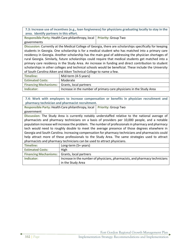**7.3: Increase use of incentives (e.g., loan forgiveness) for physicians graduating locally to stay in the area. Identify partners in this effort.**

**Responsible Party:** Health Care philanthropy, local governments **Priority:** Group Two

**Discussion:** Currently at the Medical College of Georgia, there are scholarships specifically for keeping students in Georgia. One scholarship is for a medical student who has matched into a primary care residency in Georgia. Another scholarship has the main goal of addressing the physician shortages of rural Georgia. Similarly, future scholarships could require that medical students get matched into a primary care residency in the Study Area. An increase in funding and direct contribution to student scholarships in other colleges and technical schools would be beneficial. These include the University of South Carolina Aiken and Aiken Technical College to name a few.

| Timeline:                                           | Mid-term (4-5 years)                                                |  |
|-----------------------------------------------------|---------------------------------------------------------------------|--|
| <b>Estimated Costs:</b>                             | Moderate                                                            |  |
| <b>Financing Mechanisms:</b> Grants, local partners |                                                                     |  |
| Indicator:                                          | Increase in the number of primary care physicians in the Study Area |  |

**7.4: Work with employers to increase compensation or benefits in physician recruitment and pharmacy technician and pharmacist recruitment. Responsible Party:** Health Care philanthropy, local **Priority:** Group Two government **Discussion:** The Study Area is currently notably understaffed relative to the national average of pharmacists and pharmacy technicians on a basis of providers per 10,000 people, and a notable population increase will increase the problem. The number of professionals in pharmacy and pharmacy tech would need to roughly double to meet the average presence of those degrees elsewhere in Georgia and South Carolina. Increasing compensation for pharmacy technicians and pharmacists could help attract more of these professionals to the Study Area. The same strategies used to attract pharmacists and pharmacy technicians can be used to attract physicians. **Timeline:** Long-term (5+ years)

| <b>Estimated Costs:</b>                             | High                                                                                             |
|-----------------------------------------------------|--------------------------------------------------------------------------------------------------|
| <b>Financing Mechanisms:</b> Grants, local partners |                                                                                                  |
| Indicator:                                          | Increase in the number of physicians, pharmacists, and pharmacy technicians<br>in the Study Area |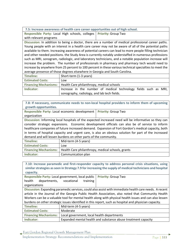**7.5: Increase awareness of health care career opportunities out of high school.**

**Responsible Party:** Local High schools, colleges **Priority:** Group Two with relevant programs

**Discussion:** In addition to being a doctor, there are a number of medical professional career paths. Young people with an interest in a health care career may not be aware of all of the potential paths available to them. Increasing awareness of potential careers can lead to more people filling technician and other needed positions. the Study Area is currently notably understaffed in numerous professions such as MRI, sonogram, radiologic, and laboratory technicians, and a notable population increase will increase the problem. The number of professionals in pharmacy and pharmacy tech would need to increase by anywhere from 25 percent to 100 percent in these various technical specialties to meet the average presence of those degrees elsewhere in Georgia and South Carolina.

| Timeline:               | Short-term (1-3 years)                                                   |  |
|-------------------------|--------------------------------------------------------------------------|--|
| <b>Estimated Costs:</b> | Low                                                                      |  |
|                         | <b>Financing Mechanisms:</b>   Health Care philanthropy, medical schools |  |
| Indicator:              | Increase in the number of medical technology fields such as MRI,         |  |
|                         | sonography, radiology, and lab tech fields.                              |  |

**7.8: If necessary, communicate needs to non-local hospital providers to inform them of upcoming growth opportunities.**

| Responsible Party: Local economic development   Priority: Group Two                 |  |  |
|-------------------------------------------------------------------------------------|--|--|
| organization                                                                        |  |  |
| Discussion: Informing local bospitals of the expected increased need will be inform |  |  |

n: Informing local hospitals of the expected increased need will be informative so they can consider strategic expansions. Economic development officials can also be of service to inform healthcare companies of future increased demand. Expansion of Fort Gordon's medical capacity, both in terms of hospital capacity and urgent care, is also an obvious solution for part of the increased demand and will lessen burdens on other parts of the community.

| Timeline:               | Mid-term (4-5 years)                                                             |
|-------------------------|----------------------------------------------------------------------------------|
| <b>Estimated Costs:</b> | Low                                                                              |
|                         | <b>Financing Mechanisms:</b>   Health Care philanthropy, medical schools, grants |
| Indicator:              | Communication plan                                                               |

| 7.10: Increase paramedic and first-responder capacity to address personal crisis situations, using       |                                                               |                            |
|----------------------------------------------------------------------------------------------------------|---------------------------------------------------------------|----------------------------|
| similar strategies as seen in Strategy 7.9 for increasing the supply of medical technicians and hospital |                                                               |                            |
| capacity.                                                                                                |                                                               |                            |
|                                                                                                          | Responsible Party: Local government, local public             | <b>Priority: Group Two</b> |
| health<br>departments,                                                                                   | vocational<br>training                                        |                            |
| organizations                                                                                            |                                                               |                            |
| Discussion: Expanding paramedic services, could also assist with immediate health care needs. A recent   |                                                               |                            |
| article in the Journal of the Georgia Public Health Association, also noted that Community Health        |                                                               |                            |
| Workers can be a valuable tool for mental health along with physical health issues and can also lessen   |                                                               |                            |
| burdens on other strategic issues identified in this report, such as hospital and physician capacity.    |                                                               |                            |
| <b>Timeline:</b>                                                                                         | Mid-term (4-5 years)                                          |                            |
| <b>Estimated Costs:</b>                                                                                  | Moderate                                                      |                            |
| <b>Financing Mechanisms:</b>                                                                             | Local government, local health departments                    |                            |
| Indicator:                                                                                               | Expanded mental health and substance abuse treatment capacity |                            |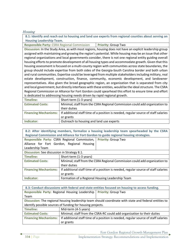# Housing

**8.1: Identify and reach out to housing and land use experts from regional counties about serving on Housing Leadership Team.**

**Responsible Party:** CSRA Regional Commission **Priority: Group Two** 

**Discussion:** In the Study Area, as with most regions, housing does not have an explicit leadership group assigned with maintaining and growing the region's potential. While housing may be an issue that other regional organizations and local governments consider, there is not one regional entity guiding overall housing efforts to promote development of all housing types and accommodate growth. Given that this housing assessment is focused on a multi-county region with communities across state boundaries, the group should include expertise from both sides of the Georgia-South Carolina border and both urban and rural communities. Expertise could be leveraged from multiple stakeholders including military, real estate development, construction, finance, community, economic development, and landowner representatives. Also given the broad geographic region, an organization that is separated from city and local government, but directly interfaces with these entities, would be the ideal structure. The CSRA Regional Commission or Alliance for Fort Gordon could spearhead this effort to ensure time and effort is dedicated to addressing housing needs driven by rapid regional growth.

| Timeline:               | Short-term (1-3 years)                                                                                     |
|-------------------------|------------------------------------------------------------------------------------------------------------|
| <b>Estimated Costs:</b> | Minimal; staff from the CSRA Regional Commission could add organization to                                 |
|                         | their duties                                                                                               |
|                         | Financing Mechanisms:   If additional staff time of a position is needed, regular source of staff salaries |
|                         | or grants                                                                                                  |
| Indicator:              | Outreach to housing and land use experts                                                                   |

| 8.2: After identifying members, formalize a housing leadership team spearheaded by the CSRA |                        |                                                                                    |
|---------------------------------------------------------------------------------------------|------------------------|------------------------------------------------------------------------------------|
| Regional Commission and Alliance for Fort Gordon to guide regional housing strategies.      |                        |                                                                                    |
| Responsible Party: CSRA Regional Commission,<br><b>Priority: Group Two</b>                  |                        |                                                                                    |
| Alliance for Fort Gordon, Regional Housing                                                  |                        |                                                                                    |
| Leadership Team                                                                             |                        |                                                                                    |
| Discussion: See discussion in Strategy 8.1.                                                 |                        |                                                                                    |
| <b>Timeline:</b>                                                                            | Short-term (1-3 years) |                                                                                    |
| <b>Estimated Costs:</b>                                                                     |                        | Minimal; staff from the CSRA Regional Commission could add organization to         |
|                                                                                             | their duties           |                                                                                    |
| <b>Financing Mechanisms:</b>                                                                |                        | If additional staff time of a position is needed, regular source of staff salaries |
|                                                                                             | or grants              |                                                                                    |
| Indicator:                                                                                  |                        | Formation of a Regional Housing Leadership Team                                    |

| 8.3: Conduct discussions with federal and state entities focused on housing to access funding.        |                      |                                                                                    |
|-------------------------------------------------------------------------------------------------------|----------------------|------------------------------------------------------------------------------------|
| Responsible Party: Regional Housing Leadership                                                        |                      | <b>Priority: Group Two</b>                                                         |
| Team                                                                                                  |                      |                                                                                    |
| Discussion: The regional housing leadership team should coordinate with state and federal entities to |                      |                                                                                    |
| identify possible sources of funding for housing projects.                                            |                      |                                                                                    |
| <b>Timeline:</b>                                                                                      | Mid-term (4-5 years) |                                                                                    |
| <b>Estimated Costs:</b>                                                                               |                      | Minimal; staff from the CSRA-RC could add organization to their duties             |
| <b>Financing Mechanisms:</b>                                                                          |                      | If additional staff time of a position is needed, regular source of staff salaries |
|                                                                                                       | or grants            |                                                                                    |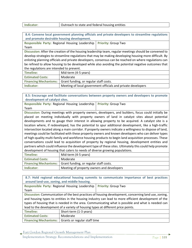| Indicator: | Outreach to state and federal housing entities |
|------------|------------------------------------------------|
|------------|------------------------------------------------|

**8.4: Convene local government planning officials and private developers to streamline regulations and promote desirable housing development.**

**Responsible Party:** Regional Housing Leadership Team **Priority:** Group Two

**Discussion:** After the creation of the housing leadership team, regular meetings should be convened to develop strategies to streamline regulations that may be making developing housing more difficult. By enlisting planning officials and private developers, consensus can be reached on where regulations can be refined to allow housing to be developed while also avoiding the potential negative outcomes that the regulations are intended to prevent.

| Timeline:               | Mid-term (4-5 years)                                           |
|-------------------------|----------------------------------------------------------------|
| <b>Estimated Costs:</b> | Moderate                                                       |
|                         | Financing Mechanisms:   Grant funding, or regular staff costs. |
| Indicator:              | Meeting of local government officials and private developers   |

**8.5: Encourage and facilitate conversations between property owners and developers to promote development of catalyst sites.**

**Responsible Party:** Regional Housing Leadership Team **Priority:** Group Two

**Discussion:** During meetings with property owners, developers, and builders, focus could initially be placed on meeting individually with property owners of land in catalyst sites about potential developments and to gauge their interest in allowing property to be acquired. A catalyst site is a location where, if redeveloped, has the potential to spur additional development, like a high-traffic intersection located along a main corridor. If property owners indicate a willingness to dispose of land, meetings could be facilitated with these property owners and known developers who can deliver types of high-quality multi-family and workforce housing products to begin land acquisition processes. These conversations could lead to acquisition of property by regional housing, development entities and partners which could influence the development type of these sites. Ultimately this could help promote development of housing that caters to needs of diverse growing populations.

| Timeline:               | Mid-term (4-5 years)                                           |
|-------------------------|----------------------------------------------------------------|
| <b>Estimated Costs:</b> | Moderate                                                       |
|                         | Financing Mechanisms:   Grant funding, or regular staff costs. |
| Indicator:              | Meeting of property owners and developers                      |

**8.7: Hold regional educational housing summits to communicate importance of best practices around land-use, zoning, and middle housing. Responsible Party:** Regional Housing Leadership **Priority:** Group Two Team **Discussion:** Communication of the best practices of housing development, concerning land use, zoning, and housing types to entities in the housing industry can lead to more efficient development of the types of housing that is needed in the area. Communicating what is possible and what is needed can lead to the development of a variety of housing types at different price points. **Timeline:** Short-term (1-3 years) **Estimated Costs:** Moderate **Financing Mechanisms:** Grants or regular staff time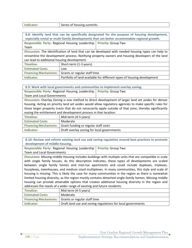|  | Indicator: | Series of housing summits |
|--|------------|---------------------------|
|--|------------|---------------------------|

| 8.8: Identify land that can be specifically designated for the purpose of housing development,     |                              |                                                                        |
|----------------------------------------------------------------------------------------------------|------------------------------|------------------------------------------------------------------------|
| especially rental or multi-family developments that can better accommodate regional growth.        |                              |                                                                        |
| Responsible Party: Regional Housing Leadership   Priority: Group Two                               |                              |                                                                        |
| Team                                                                                               |                              |                                                                        |
| Discussion: The identification of land that can be developed with needed housing types can help to |                              |                                                                        |
| streamline the development process. Notifying property owners and housing developers of the land   |                              |                                                                        |
| can lead to additional housing development.                                                        |                              |                                                                        |
| <b>Timeline:</b>                                                                                   | Short-term (1-3 years)       |                                                                        |
| <b>Estimated Costs:</b>                                                                            | Low                          |                                                                        |
| <b>Financing Mechanisms:</b>                                                                       | Grants or regular staff time |                                                                        |
| Indicator:                                                                                         |                              | Portfolio of land available for different types of housing development |
|                                                                                                    |                              |                                                                        |

| 8.9: Work with local governments and communities to implement overlay zoning.                          |                                      |  |
|--------------------------------------------------------------------------------------------------------|--------------------------------------|--|
| Responsible Party: Regional Housing Leadership<br><b>Priority: Group Two</b>                           |                                      |  |
| <b>Team and Local Governments</b>                                                                      |                                      |  |
| Discussion: Overlay Zoning is one method to direct development of larger land set asides for denser    |                                      |  |
| housing. Acting on priority land set asides would allow regulatory agencies to make specific rules for |                                      |  |
| these larger property tracts that do not necessarily apply outside of that zone, thereby significantly |                                      |  |
| easing the entitlement and development process in that location.                                       |                                      |  |
| <b>Timeline:</b>                                                                                       | Mid-term (4-5 years)                 |  |
| <b>Estimated Costs:</b>                                                                                | Moderate                             |  |
| <b>Financing Mechanisms:</b>                                                                           | Grant funding or regular staff costs |  |

**8.10: Review and reform existing land use and zoning regulation around best practices to promote development of middle housing.**

**Responsible Party:** Regional Housing Leadership Team and Local Governments **Priority:** Group Two

Indicator: **Draft overlay zoning for local governments** 

**Discussion:** Missing middle Housing includes buildings with multiple units that are compatible in scale with single family houses. As this description indicates, these types of developments are scaled between single family homes and mid-rise apartments and could include duplexes, triplexes, fourplexes, townhouses, and medium sized multiplexes. In many communities, this style and scale of housing is missing. This is likely the case for many communities in the region as there is somewhat limited housing diversity, as the region mostly contains detached single-family homes. Missing middle housing can provide attainable options that creates additional housing diversity in the region and addresses the needs of a wider range of existing and future residents.

| Timeline:               | Mid-term (4-5 years)                                        |
|-------------------------|-------------------------------------------------------------|
| <b>Estimated Costs:</b> | Moderate                                                    |
|                         | <b>Financing Mechanisms:</b> Grants or regular staff time   |
| Indicator:              | Draft land use and zoning regulations for local governments |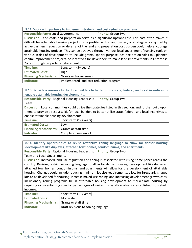**Responsible Party: Local Governments | Priority: Group Two** 

**Discussion:** Land costs and preparation serve as a significant upfront cost. This cost often makes it difficult for attainable housing projects to be profitable. For land owned, or strategically acquired by active partners, reduction or deferral of the land and preparation cost burden could help encourage attainable housing projects. This can be achieved through various local government financing tools on various scales of development, to include grants, special-purpose local tax option sales tax, planned capital improvement projects, or incentives for developers to make land improvements in Enterprise Zones through property tax abatement.

| Timeline:                                           | Long-term (5+ years)                    |
|-----------------------------------------------------|-----------------------------------------|
| <b>Estimated Costs:</b>                             | High                                    |
| <b>Financing Mechanisms:</b> Grants or tax revenues |                                         |
| Indicator:                                          | Implemented land cost reduction program |

**8.13: Provide a resource kit for local builders to better utilize state, federal, and local incentives to enable attainable housing developments.**

| Responsible Party: Regional Housing Leadership                                                               |                        | <b>Priority: Group Two</b> |
|--------------------------------------------------------------------------------------------------------------|------------------------|----------------------------|
| Team                                                                                                         |                        |                            |
| Discussion: Local communities could utilize the strategies listed in this section, and further build upon    |                        |                            |
| them, to provide a resource kit for local builders to better utilize state, federal, and local incentives to |                        |                            |
| enable attainable housing developments.                                                                      |                        |                            |
| Timeline:                                                                                                    | Short-term (1-3 years) |                            |
| <b>Estimated Costs:</b>                                                                                      | Low                    |                            |
| <b>Financing Mechanisms:</b> Grants or staff time                                                            |                        |                            |

**Indicator:** Completed resource kit

**8.14: Identify opportunities to revise restrictive zoning language to allow for denser housing development like duplexes, attached townhomes, condominiums, and apartments.**

**Responsible Party:** Regional Housing Leadership Team and Local Governments **Priority:** Group Two

**Discussion:** Increased land-use regulation and zoning is associated with rising home prices across the country. Revising restrictive zoning language to allow for denser housing development like duplexes, attached townhomes, condominiums, and apartments will allow for the development of attainable housing. Changes could include reducing minimum lot size requirements, allow for irregularly shaped lots to be developed for housing, increase mixed-use zoning, and increasing development growth caps. Inclusionary zoning programs tie in affordable housing development to market-rate housing by requiring or incentivizing specific percentages of united to be affordable for established household incomes.

| Timeline:                                         | Short-term (1-3 years)             |
|---------------------------------------------------|------------------------------------|
| <b>Estimated Costs:</b>                           | Moderate                           |
| <b>Financing Mechanisms:</b> Grants or staff time |                                    |
| Indicator:                                        | Draft revisions to zoning language |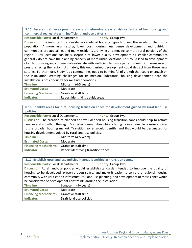**8.15: Assess rural development areas and determine areas at risk or facing ad hoc housing and commercial real estate with inefficient land-use patterns.**

**Responsible Party: Local Departments | Priority: Group Two** 

**Discussion:** It is important to consider a variety of housing types to meet the needs of the future population. A more rural setting, lower cost housing, less dense development, and tight-knit communities are appealing, and many residents are living and moving to more rural portions of the region. Rural locations can be susceptible to lower quality development as smaller communities generally do not have the planning capacity of more urban locations. This could lead to development of ad hoc housing and commercial real estate with inefficient land-use patterns due to immense growth pressure facing the region. Ultimately, this unorganized development could detract from these rural settings. Furthermore, Study Area communities need to be mindful of growth that could encroach on the Installation, creating challenges for its mission. Substantial housing development near the Installation is not conducive for military operations.

| Timeline:                                         | Mid-term (4-5 years)             |
|---------------------------------------------------|----------------------------------|
| <b>Estimated Costs:</b>                           | Moderate                         |
| <b>Financing Mechanisms:</b> Grants or staff time |                                  |
| Indicator:                                        | Report identifying at-risk areas |

**8.16: Identify areas for rural housing transition zones for development guided by rural land use policies.**

**Responsible Party: Local Departments Priority: Group Two** 

**Discussion:** The creation of planned and well-defined housing transition zones could help to attract families and growth to the region's smaller communities while offering more attainable housing choices to the broader housing market. Transition zones would identify land that would be designated for housing development guided by rural land-use policies.

| Timeline:                                         | Mid-term (4-5 years)                |
|---------------------------------------------------|-------------------------------------|
| <b>Estimated Costs:</b>                           | Moderate                            |
| <b>Financing Mechanisms:</b> Grants or staff time |                                     |
| Indicator:                                        | Report identifying transition zones |

**8.17: Establish rural land use policies in areas identified as transition zones.**

**Responsible Party: Local Departments Priority: Group Two** 

**Discussion:** Rural land-use policies would establish standards intended to improve the quality of housing to be developed, preserve open space, and make it easier to serve the regional housing community with utilities and infrastructure. Land-use planning, and development of these zones would be considerate of development constraints around the Installation.

| Timeline:                                         | Long-term (5+ years)    |
|---------------------------------------------------|-------------------------|
| <b>Estimated Costs:</b>                           | Moderate                |
| <b>Financing Mechanisms:</b> Grants or staff time |                         |
| Indicator:                                        | Draft land use policies |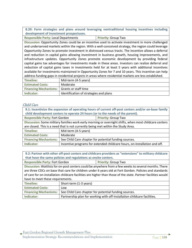**8.20: Form strategies and plans around leveraging nontraditional housing incentives including development of investment prospectuses.**

**Responsible Party: Local Departments | Priority: Group Two** 

**Discussion:** Opportunity Zones could be an incentive used to activate investment in more challenged and underserved markets within the region. With a well-conceived strategy, the region could leverage Opportunity Zones to promote investment in distressed census tracts. The incentive allows a deferral and reduction in capital gains allowing investment in business growth, housing improvements, and infrastructure updates. Opportunity Zones promote economic development by providing federal capital gains tax advantages for investments made in these areas. Investors can realize deferral and reduction of capital gains taxes in investments held for at least 5 years with additional incentives available for investments maintained in Opportunity Zones for 7 and 10 years. This incentive can help address funding gaps in residential projects in areas where residential markets are less established.

| Timeline:                                         | Mid-term (4-5 years)                   |
|---------------------------------------------------|----------------------------------------|
| <b>Estimated Costs:</b>                           | Moderate                               |
| <b>Financing Mechanisms:</b> Grants or staff time |                                        |
| Indicator:                                        | Identification of strategies and plans |

# Child Care

| 9.1: Incentivize the expansion of operating hours of current off-post centers and/or on-base family<br>child development centers to operate 24 hours (or to the needs of the parent). |                                                                           |                            |
|---------------------------------------------------------------------------------------------------------------------------------------------------------------------------------------|---------------------------------------------------------------------------|----------------------------|
| <b>Responsible Party: Fort Gordon</b>                                                                                                                                                 |                                                                           | <b>Priority: Group Two</b> |
| Discussion: Some military families work early morning or overnight shifts, when most childcare centers                                                                                |                                                                           |                            |
| are closed. This is a need that is not currently being met within the Study Area.                                                                                                     |                                                                           |                            |
| <b>Timeline:</b>                                                                                                                                                                      | Mid-term (4-5 years)                                                      |                            |
| <b>Estimated Costs:</b>                                                                                                                                                               | Moderate                                                                  |                            |
| <b>Financing Mechanisms:</b>                                                                                                                                                          | See Child Care chapter for potential funding sources.                     |                            |
| Indicator:                                                                                                                                                                            | Incentive programs for extended childcare hours, on-Installation and off. |                            |

| 9.2: Partner with other off-post centers and childcare providers as "extensions" to military childcare        |                                                                          |                            |  |
|---------------------------------------------------------------------------------------------------------------|--------------------------------------------------------------------------|----------------------------|--|
| that have the same policies and regulations as onsite centers.                                                |                                                                          |                            |  |
| <b>Responsible Party: Fort Gordon</b>                                                                         |                                                                          | <b>Priority: Group Two</b> |  |
| Discussion: Waitlists for on-post centers could be anywhere from a few weeks to several months. There         |                                                                          |                            |  |
| are three CDCs on base that care for children under 6 years old at Fort Gordon. Policies and standards        |                                                                          |                            |  |
| of care for on-installation childcare facilities are higher than those of the state. Partner facilities would |                                                                          |                            |  |
| have to meet these requirements.                                                                              |                                                                          |                            |  |
| <b>Timeline:</b>                                                                                              | Short-term (1-3 years)                                                   |                            |  |
| <b>Estimated Costs:</b>                                                                                       | Low                                                                      |                            |  |
| <b>Financing Mechanisms:</b>                                                                                  | See Child Care chapter for potential funding sources.                    |                            |  |
| Indicator:                                                                                                    | Partnership plan for working with off-installation childcare facilities. |                            |  |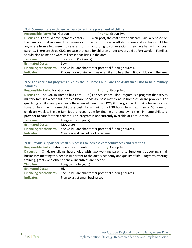| 9.4: Communicate with new arrivals to facilitate placement of children. |
|-------------------------------------------------------------------------|
|-------------------------------------------------------------------------|

**Responsible Party: Fort Gordon <b>Priority:** Group Two

**Discussion:** For child development centers (CDCs) on-post, the cost of the childcare is usually based on the family's total income. Interviewees commented on how waitlists for on-post centers could be anywhere from a few weeks to several months, according to conversations they have had with on post parents. There are three CDCs on base that care for children under 6 years old at Fort Gordon. Families should also be made aware of licensed facilities in the area.

| Timeline:               | Short-term (1-3 years)                                                        |
|-------------------------|-------------------------------------------------------------------------------|
| <b>Estimated Costs:</b> | Low                                                                           |
|                         | Financing Mechanisms:   See Child Care chapter for potential funding sources. |
| Indicator:              | Process for working with new families to help them find childcare in the area |

**9.5: Consider pilot programs such as the In-Home Child Care Fee Assistance Pilot to help military families.**

**Responsible Party: Fort Gordon <b>Priority:** Group Two **Discussion:** The DoD In-Home Child Care (IHCC) Fee Assistance Pilot Program is a program that serves military families whose full-time childcare needs are best met by an in-home childcare provider. For qualifying families and providers offered enrollment, the IHCC pilot program will provide fee assistance towards full-time in-home childcare costs for a minimum of 30 hours to a maximum of 60 hours of childcare weekly. Eligible families are responsible for finding and employing their in-home childcare provider to care for their children. This program is not currently available at Fort Gordon.

| Timeline:                    | Long-term (5+ years)                                  |
|------------------------------|-------------------------------------------------------|
| <b>Estimated Costs:</b>      | Moderate                                              |
| <b>Financing Mechanisms:</b> | See Child Care chapter for potential funding sources. |
| Indicator:                   | Creation and trial of pilot programs.                 |

| 9.8: Provide support for small businesses to increase competitiveness and retention.                   |                                                       |                            |  |
|--------------------------------------------------------------------------------------------------------|-------------------------------------------------------|----------------------------|--|
| <b>Responsible Party: State/Local Governments</b>                                                      |                                                       | <b>Priority: Group Two</b> |  |
| Discussion: Childcare allows households with two working parents to function. Supporting small         |                                                       |                            |  |
| businesses meeting this need is important to the area's economy and quality of life. Programs offering |                                                       |                            |  |
| training, grants, and other financial incentives are needed.                                           |                                                       |                            |  |
| Timeline:                                                                                              | Long-term (5+ years)                                  |                            |  |
| <b>Estimated Costs:</b>                                                                                | High                                                  |                            |  |
| <b>Financing Mechanisms:</b>                                                                           | See Child Care chapter for potential funding sources. |                            |  |
| Indicator:                                                                                             | Plan to assist small businesses                       |                            |  |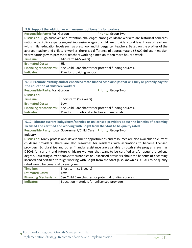| 9.9: Support the addition or enhancement of benefits for workers.                                        |                            |                                                       |  |
|----------------------------------------------------------------------------------------------------------|----------------------------|-------------------------------------------------------|--|
| <b>Responsible Party: Fort Gordon</b>                                                                    |                            | <b>Priority: Group Two</b>                            |  |
| Discussion: High turnover and retention challenges among childcare workers are historical concerns       |                            |                                                       |  |
| nationwide. Policy experts suggest increasing wages of childcare providers to at least those of teachers |                            |                                                       |  |
| with similar education levels such as preschool and kindergarten teachers. Based on the profiles of the  |                            |                                                       |  |
| average teacher and childcare worker, there is a difference of approximately \$6,000 dollars in median   |                            |                                                       |  |
| yearly earnings with preschool teachers working a median of ten more hours a week.                       |                            |                                                       |  |
| <b>Timeline:</b>                                                                                         | Mid-term (4-5 years)       |                                                       |  |
| <b>Estimated Costs:</b>                                                                                  | High                       |                                                       |  |
| <b>Financing Mechanisms:</b>                                                                             |                            | See Child Care chapter for potential funding sources. |  |
| Indicator:                                                                                               | Plan for providing support |                                                       |  |

| 9.10: Promote existing and/or enhanced state funded scholarships that will fully or partially pay for |                                                       |  |  |
|-------------------------------------------------------------------------------------------------------|-------------------------------------------------------|--|--|
| the education of childcare workers.                                                                   |                                                       |  |  |
| <b>Responsible Party: Fort Gordon</b><br><b>Priority: Group Two</b>                                   |                                                       |  |  |
| <b>Discussion:</b>                                                                                    |                                                       |  |  |
| <b>Timeline:</b>                                                                                      | Short-term (1-3 years)                                |  |  |
| <b>Estimated Costs:</b>                                                                               | Low                                                   |  |  |
| <b>Financing Mechanisms:</b>                                                                          | See Child Care chapter for potential funding sources. |  |  |
| Indicator:                                                                                            | Plan for promotional activities and materials         |  |  |

| 9.12: Educate current babysitters/nannies or unlicensed providers about the benefits of becoming      |                                              |                                                       |  |
|-------------------------------------------------------------------------------------------------------|----------------------------------------------|-------------------------------------------------------|--|
| licensed and certified and working with Bright from the Start to be quality rated.                    |                                              |                                                       |  |
| Responsible Party: Local Government/Child Care                                                        |                                              | <b>Priority: Group Two</b>                            |  |
| Industry                                                                                              |                                              |                                                       |  |
| Discussion: Many professional development opportunities and resources are also available to current   |                                              |                                                       |  |
| childcare providers. There are also resources for residents with aspirations to become licensed       |                                              |                                                       |  |
| providers. Scholarships and other financial assistance are available through state programs such as   |                                              |                                                       |  |
| DECAL for current and future childcare workers that want to be certified and/or acquire a college     |                                              |                                                       |  |
| degree. Educating current babysitters/nannies or unlicensed providers about the benefits of becoming  |                                              |                                                       |  |
| licensed and certified through working with Bright from the Start (also known as DECAL) to be quality |                                              |                                                       |  |
| rated would be beneficial to everyone.                                                                |                                              |                                                       |  |
| <b>Timeline:</b>                                                                                      | Short-term (1-3 years)                       |                                                       |  |
| <b>Estimated Costs:</b>                                                                               | Low                                          |                                                       |  |
| <b>Financing Mechanisms:</b>                                                                          |                                              | See Child Care chapter for potential funding sources. |  |
| Indicator:                                                                                            | Education materials for unlicensed providers |                                                       |  |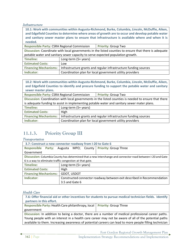**Infrastructure** 

**10.1: Work with communities within Augusta-Richmond, Burke, Columbia, Lincoln, McDuffie, Aiken, and Edgefield Counties to determine where areas of growth are to occur and develop potable water and sanitary sewer master plans to ensure that infrastructure is available where and when it is needed. Responsible Party: CSRA Regional Commission | Priority: Group Two** 

**Discussion:** Coordinate with local governments in the listed counties to ensure that there is adequate potable water and sanitary sewer capacity to serve expected population growth.

| Timeline:               | Long-term (5+ years)                                                                     |
|-------------------------|------------------------------------------------------------------------------------------|
| <b>Estimated Costs:</b> | Low                                                                                      |
|                         | Financing Mechanisms:   Infrastructure grants and regular infrastructure funding sources |
| Indicator:              | Coordination plan for local government utility providers                                 |

**10.2: Work with communities within Augusta-Richmond, Burke, Columbia, Lincoln, McDuffie, Aiken, and Edgefield Counties to identify and procure funding to support the potable water and sanitary sewer master plans.**

**Responsible Party: CSRA Regional Commission | Priority: Group Two** 

**Discussion:** Coordination with local governments in the listed counties is needed to ensure that there is adequate funding to assist in implementing potable water and sanitary sewer mater plans.

| Timeline:               | Long-term (5+ years)                                                                     |
|-------------------------|------------------------------------------------------------------------------------------|
| <b>Estimated Costs:</b> | High                                                                                     |
|                         | Financing Mechanisms:   Infrastructure grants and regular infrastructure funding sources |
| Indicator:              | Coordination plan for local government utility providers                                 |

# **11.1.3. Priority Group III**

# Transportation

| 3.7: Construct a new connector roadway from I-20 to Gate 6                                                 |                                                                        |  |                                             |
|------------------------------------------------------------------------------------------------------------|------------------------------------------------------------------------|--|---------------------------------------------|
| <b>Responsible Party:</b>                                                                                  |                                                                        |  | Augusta MPO; County   Priority: Group Three |
| Government                                                                                                 |                                                                        |  |                                             |
| Discussion: Columbia County has determined that a new interchange and connector road between I-20 and Gate |                                                                        |  |                                             |
| 6 is a way to eliminate traffic congestion at that gate.                                                   |                                                                        |  |                                             |
| <b>Timeline:</b>                                                                                           | Long-term (5+ years)                                                   |  |                                             |
| <b>Estimated Costs:</b>                                                                                    | High                                                                   |  |                                             |
| <b>Financing Mechanisms:</b>                                                                               | <b>GDOT, USDOT</b>                                                     |  |                                             |
| Indicator:                                                                                                 | Constructed connector roadway between exit described in Recommendation |  |                                             |
|                                                                                                            | 3.5 and Gate 6                                                         |  |                                             |

# Health Care

**7.6: Offer financial aid or other incentives for students to pursue medical technician fields. Identify partners in this effort.**

**Responsible Party:** Health Care philanthropy, local **Priority:** Group Three government

**Discussion:** In addition to being a doctor, there are a number of medical professional career paths. Young people with an interest in a health care career may not be aware of all of the potential paths available to them. Increasing awareness of potential careers can lead to more people filling technician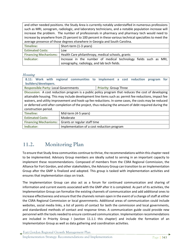and other needed positions. the Study Area is currently notably understaffed in numerous professions such as MRI, sonogram, radiologic, and laboratory technicians, and a notable population increase will increase the problem. The number of professionals in pharmacy and pharmacy tech would need to increase by anywhere from 25 percent to 100 percent in these various technical specialties to meet the average presence of those degrees elsewhere in Georgia and South Carolina.

| Timeline:               | Short-term (1-3 years)                                                    |  |  |
|-------------------------|---------------------------------------------------------------------------|--|--|
| <b>Estimated Costs:</b> | Low                                                                       |  |  |
|                         | Financing Mechanisms:   Health Care philanthropy, medical schools, grants |  |  |
| Indicator:              | Increase in the number of medical technology fields such as MRI,          |  |  |
|                         | sonography, radiology, and lab tech fields.                               |  |  |

# Housing

**8.11: Work with regional communities to implement a cost reduction program for builders/developers. Responsible Party: Local Governments | Priority: Group Three Discussion:** A cost reduction program is a public policy program that reduces the cost of developing attainable housing. This may include development line items such as: permit fee reductions, impact fee waivers, and utility improvement and hook-up fee reductions. In some cases, the costs may be reduced

or deferred until after completion of the project, thus reducing the amount of debt required during the construction period. Timeline: **Mid-term (4-5 years)** Estimated Costs: | Moderate

| <b>Estimated Costs:</b> | Moderate                                             |
|-------------------------|------------------------------------------------------|
|                         | Financing Mechanisms:   Grants or regular staff time |
| Indicator:              | Implementation of a cost reduction program           |

# **11.2. Monitoring Plan**

To ensure that Study Area communities continue to thrive, the recommendations within this chapter need to be implemented. Advisory Group members are ideally suited to serving in an important capacity to implement these recommendations. Composed of members from the CSRA Regional Commission, the Alliance for Fort Gordon, and other stakeholders, the Advisory Group can transition to an Implementation Group after the GMP is finalized and adopted. This group is tasked with implementation activities and ensures that implementation stays on track.

The Implementation Group can also act as a forum for continued communication and sharing of information and current events associated with the GMP after it is completed. As part of its activities, the Implementation Group can formalize the existing channels of communication and add additional ones to increase effectiveness and ensure that the channels remain open in the event of a change of staff at either the CSRA Regional Commission or local governments. Additional areas of communication could include websites, social media links, a list of points of contact for both the commission and local governments, and standardized methods of contact and response times. A communication guide could provide new personnel with the tools needed to ensure continued communication. Implementation recommendations are included in Priority Group I (section 11.1.1 this chapter) and include the formation of an Implementation Group as well as data gathering and coordination activities.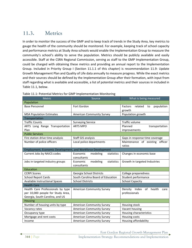# **11.3. Metrics**

In order to monitor the success of the GMP and to keep track of trends in the Study Area, key metrics to gauge the health of the community should be monitored. For example, keeping track of school capacity and performance metrics at Study Area schools would enable the Implementation Group to measure the community's school's ability to serve the population. Metrics should be publicly available and easily accessible. Staff at the CSRA Regional Commission, serving as staff to the GMP Implementation Group, could be charged with obtaining these metrics and providing an annual report to the Implementation Group. Included in Priority Group I (Section 11.1.1 of this chapter) is recommendation 11.9: Update Growth Management Plan and Quality of Life data annually to measure progress. While the exact metrics and their sources should be defined by the Implementation Group after their formation, with input from staff regarding what is available and accessible, a list of potential metrics and their sources in included in Table 11.1, below.

| Metric                                                                | Source                                                      | What is being measured                           |  |  |  |  |
|-----------------------------------------------------------------------|-------------------------------------------------------------|--------------------------------------------------|--|--|--|--|
| Population                                                            |                                                             |                                                  |  |  |  |  |
| <b>Base Personnel</b>                                                 | Fort Gordon                                                 | Factors<br>related<br>population<br>to<br>growth |  |  |  |  |
| <b>MSA Population Estimates</b>                                       | <b>American Community Survey</b>                            | Population growth                                |  |  |  |  |
| Transportation                                                        |                                                             |                                                  |  |  |  |  |
| <b>Traffic Counts</b>                                                 | <b>Surveying Service</b>                                    | Traffic volume                                   |  |  |  |  |
| ARTS Long Range Transportation                                        | <b>ARTS MPO</b>                                             | Planned<br>transportation                        |  |  |  |  |
| Plan                                                                  |                                                             | improvements                                     |  |  |  |  |
| <b>Public Services</b>                                                |                                                             |                                                  |  |  |  |  |
| Fire station drive time analysis                                      | Staff GIS analysis                                          | Gaps in response time coverage                   |  |  |  |  |
| Number of police officers                                             | Local police departments                                    | Maintenance of existing officer                  |  |  |  |  |
|                                                                       |                                                             | ratios                                           |  |  |  |  |
|                                                                       | Employment, Economic Development, and Workforce Development |                                                  |  |  |  |  |
| Current Jobs by NAICS codes                                           | Economic<br>modeling<br>statistics                          | Changes in economic base                         |  |  |  |  |
|                                                                       | consultants                                                 |                                                  |  |  |  |  |
| Jobs in targeted industry groups                                      | modeling<br>Economic<br>statistics                          | Growth in targeted Industries                    |  |  |  |  |
|                                                                       | consultants                                                 |                                                  |  |  |  |  |
| Education                                                             |                                                             |                                                  |  |  |  |  |
| <b>CCRPI Scores</b>                                                   | Georgia School Districts                                    | College preparedness                             |  |  |  |  |
| School Report Cards<br>South Carolina Board of Education              |                                                             | Student performance                              |  |  |  |  |
| <b>Available Instructional Spaces</b>                                 | <b>School Districts</b>                                     | <b>School Capacity</b>                           |  |  |  |  |
| <b>Health Care</b>                                                    |                                                             |                                                  |  |  |  |  |
| Health Care Professionals by type<br><b>American Community Survey</b> |                                                             | Density Index of health<br>care                  |  |  |  |  |
| per 10,000 people for Study Area,                                     |                                                             | professionals                                    |  |  |  |  |
| Georgia, South Carolina, and US                                       |                                                             |                                                  |  |  |  |  |
| <b>Housing</b>                                                        |                                                             |                                                  |  |  |  |  |
| Number of housing units by type<br><b>American Community Survey</b>   |                                                             | Housing stock                                    |  |  |  |  |
| Vacancy rates<br><b>American Community Survey</b>                     |                                                             | Vacant housing                                   |  |  |  |  |
| <b>American Community Survey</b><br>Occupancy type                    |                                                             | Housing characteristics                          |  |  |  |  |
| Mortgage and rent costs                                               | <b>American Community Survey</b>                            | Housing costs                                    |  |  |  |  |
| <b>American Community Survey</b><br>Income                            |                                                             | Housing affordability                            |  |  |  |  |

Table 11.1: Potential Metrics for GMP Implementation Monitoring